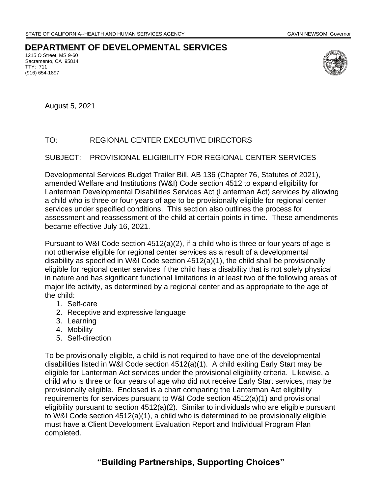### **DEPARTMENT OF DEVELOPMENTAL SERVICES**

1215 O Street, MS 9-60 Sacramento, CA 95814 TTY: 711 (916) 654-1897



August 5, 2021

# TO: REGIONAL CENTER EXECUTIVE DIRECTORS

### SUBJECT: PROVISIONAL ELIGIBILITY FOR REGIONAL CENTER SERVICES

Developmental Services Budget Trailer Bill, AB 136 (Chapter 76, Statutes of 2021), amended Welfare and Institutions (W&I) Code section 4512 to expand eligibility for Lanterman Developmental Disabilities Services Act (Lanterman Act) services by allowing a child who is three or four years of age to be provisionally eligible for regional center services under specified conditions. This section also outlines the process for assessment and reassessment of the child at certain points in time. These amendments became effective July 16, 2021.

Pursuant to W&I Code section 4512(a)(2), if a child who is three or four years of age is not otherwise eligible for regional center services as a result of a developmental disability as specified in W&I Code section 4512(a)(1), the child shall be provisionally eligible for regional center services if the child has a disability that is not solely physical in nature and has significant functional limitations in at least two of the following areas of major life activity, as determined by a regional center and as appropriate to the age of the child:

- 1. Self-care
- 2. Receptive and expressive language
- 3. Learning
- 4. Mobility
- 5. Self-direction

To be provisionally eligible, a child is not required to have one of the developmental disabilities listed in W&I Code section 4512(a)(1). A child exiting Early Start may be eligible for Lanterman Act services under the provisional eligibility criteria. Likewise, a child who is three or four years of age who did not receive Early Start services, may be provisionally eligible. Enclosed is a chart comparing the Lanterman Act eligibility requirements for services pursuant to W&I Code section 4512(a)(1) and provisional eligibility pursuant to section 4512(a)(2). Similar to individuals who are eligible pursuant to W&I Code section 4512(a)(1), a child who is determined to be provisionally eligible must have a Client Development Evaluation Report and Individual Program Plan completed.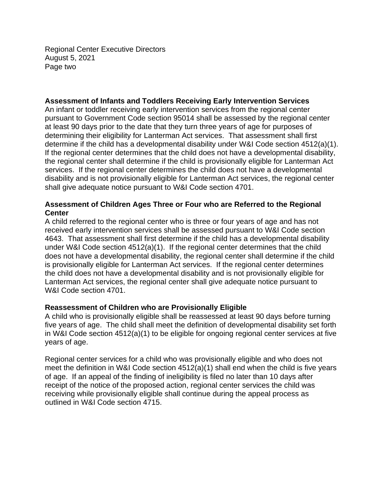Regional Center Executive Directors August 5, 2021 Page two

## **Assessment of Infants and Toddlers Receiving Early Intervention Services**

An infant or toddler receiving early intervention services from the regional center pursuant to Government Code section 95014 shall be assessed by the regional center at least 90 days prior to the date that they turn three years of age for purposes of determining their eligibility for Lanterman Act services. That assessment shall first determine if the child has a developmental disability under W&I Code section 4512(a)(1). If the regional center determines that the child does not have a developmental disability, the regional center shall determine if the child is provisionally eligible for Lanterman Act services. If the regional center determines the child does not have a developmental disability and is not provisionally eligible for Lanterman Act services, the regional center shall give adequate notice pursuant to W&I Code section 4701.

## **Assessment of Children Ages Three or Four who are Referred to the Regional Center**

A child referred to the regional center who is three or four years of age and has not received early intervention services shall be assessed pursuant to W&I Code section 4643. That assessment shall first determine if the child has a developmental disability under W&I Code section 4512(a)(1). If the regional center determines that the child does not have a developmental disability, the regional center shall determine if the child is provisionally eligible for Lanterman Act services. If the regional center determines the child does not have a developmental disability and is not provisionally eligible for Lanterman Act services, the regional center shall give adequate notice pursuant to W&I Code section 4701.

### **Reassessment of Children who are Provisionally Eligible**

A child who is provisionally eligible shall be reassessed at least 90 days before turning five years of age. The child shall meet the definition of developmental disability set forth in W&I Code section 4512(a)(1) to be eligible for ongoing regional center services at five years of age.

Regional center services for a child who was provisionally eligible and who does not meet the definition in W&I Code section 4512(a)(1) shall end when the child is five years of age. If an appeal of the finding of ineligibility is filed no later than 10 days after receipt of the notice of the proposed action, regional center services the child was receiving while provisionally eligible shall continue during the appeal process as outlined in W&I Code section 4715.